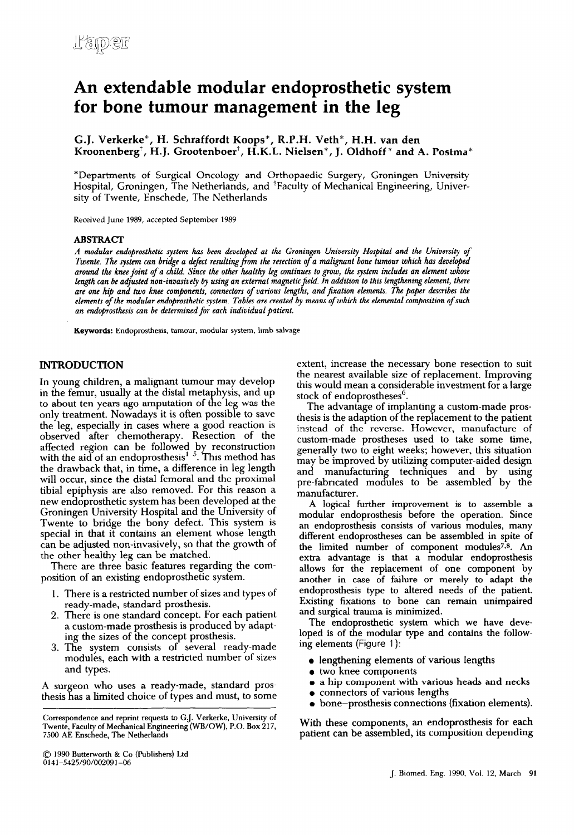# **An extendable modular endoprosthetic system for bone tumour management in the leg**

**G.J. Verkerke\*, H. Schraffordt Koops", R.P.H. Veth\*, H.H. van den**  Kroonenberg<sup>†</sup>, H.J. Grootenboer<sup>†</sup>, H.K.L. Nielsen<sup>\*</sup>, J. Oldhoff<sup>\*</sup> and A. Postma<sup>\*</sup>

\*Departments of Surgical Oncology and Orthopaedic Surgery, Groningen University Hospital, Groningen, The Netherlands, and 'Faculty of Mechanical Engineering, University of Twente, Enschede, The Netherlands

**Received June 1989, accepted September 1989** 

#### **ABSTRACT**

*A modular endoprosthetic system has been developed at the Groningen Uniuersity Hospital and the University of Twente. The system can bridge a defect resulting from the resection of a malignant bone tumour which has developed* around the knee joint of a child. Since the other healthy leg continues to grow, the system includes an element whose *length can be adjusted non-invasively by using an external magnetic* **jield.** *In addition to this bngthening eletnent, there are one* hip *and two knee components, connectors of various lengths, and firation elements. The paper &scribes the*  elements of the modular endoprosthetic system. Tables are created by means of which the elemental composition of such *an endoprosthesti can be determined for each individual patient.* 

**Keywords: Endoprosthesis, tumour, modular system, limb salvage** 

## **INTRODUCTION**

In young children, a malignant tumour may develop in the femur, usually at the distal metaphysis, and up to about ten years ago amputation of the leg was the only treatment, Nowadays it is often possible to save the leg, especially in cases where a good reaction is observed after chemotherapy. Resection of the affected region can be followed by reconstruction with the aid of an endoprosthesis<sup> $1-5$ </sup>. This method has the drawback that, in time, a difference in leg length will occur, since the distal femoral and the proximal tibia1 epiphysis are also removed. For this reason a new endoprosthetic system has been developed at the Groningen University Hospital and the University of Twente to bridge the bony defect. This system is special in that it contains an element whose length can be adjusted non-invasively, so that the growth of the other healthy leg can be matched.

There are three basic features regarding the composition of an existing endoprosthetic system.

- 1. There is a restricted number of sizes and types of ready-made, standard prosthesis.
- 2. There is one standard concept. For each patient a custom-made prosthesis is produced by adapting the sizes of the concept prosthesis.
- 3. The system consists of several ready-made modules, each with a restricted number of sizes and types.

A surgeon who uses a ready-made, standard prosthesis has a limited choice of types and must, to some

**0 1990 Butterworth & Co (Publishers) Ltd**  0141-5425/90/002091-06

extent, increase the necessary bone resection to suit the nearest available size of replacement. Improving this would mean a considerable investment for a large stock of endoprostheses<sup>o</sup>.

The advantage of implanting a custom-made prosthesis is the adaption of the replacement to the patient instead of the reverse. However, manufacture of custom-made prostheses used to take some time, generally two to eight weeks; however, this situation may be improved by utilizing computer-aided design and manufacturing techniques and by using pre-fabricated modules to be assembled by the manufacturer.

A logical further improvement is to assemble a modular endoprosthesis before the operation. Since an endoprosthesis consists of various modules, many different endoprostheses can be assembled in spite of the limited number of component modules<sup>7,8</sup>. An extra advantage is that a modular endoprosthesis allows for the replacement of one component by another in case of failure or merely to adapt the endoprosthesis type to altered needs of the patient. Existing fixations to bone can remain unimpaired and surgical trauma is minimized.

The endoprosthetic system which we have developed is of the modular type and contains the following elements (Figure 1):

- lengthening elements of various lengths
- two knee components
- a a hip component with various heads and necks
- 0 connectors of various lengths
- bone-prosthesis connections (fixation elements).

With these components, an endoprosthesis for each patient can be assembled, its composition depending

**Correspondence and reprint requests to G.J. Verkerke, University of Twente, Faculty of Mechanical Engineering (WB/OW), P.O. Box 217, 7500 AE Enschede, The Netherlands**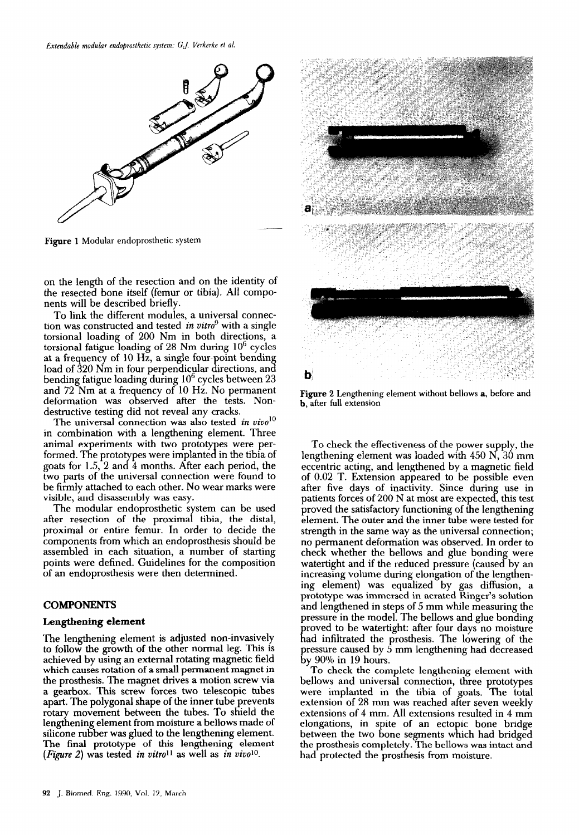

**Figure 1 Modular endoprosthetic system** 

on the length of the resection and on the identity of the resected bone itself (femur or tibia). All components will be described briefly.

To link the different modules, a universal connection was constructed and tested *in vitro9* with a single torsional loading of 200 Nm in both directions, a torsional fatigue loading of  $28$  Nm during  $10^6$  cycles at a frequency of  $10 \text{ Hz}$ , a single four-point bending load of 320 Nm in four perpendicular directions, and bending fatigue loading during  $10<sup>6</sup>$  cycles between  $23$ and 72 Nm at a frequency of 10 Hz. No permanent deformation was observed after the tests. Nondestructive testing did not reveal any cracks.

The universal connection was also tested *in vivo*<sup>10</sup> in combination with a lengthening element. Three animal experiments with two prototypes were per formed. The prototypes were implanted in the tibia of goats for 1.5, 2 and 4 months. After each period, the two parts of the universal connection were found to be firmly attached to each other. No wear marks were visible, and disassembly was easy.

The modular endoprosthetic system can be used after resection of the proximal tibia, the distal, proximal or entire femur. In order to decide the components from which an endoprosthesis should be assembled in each situation, a number of starting points were defined. Guidelines for the composition of an endoprosthesis were then determined.

#### **COMPONENTS**

#### **Lengthening element**

The lengthening element is adjusted non-invasively to follow the growth of the other normal leg. This is achieved by using an external rotating magnetic field which causes rotation of a small permanent magnet in the prosthesis. The magnet drives a motion screw via a gearbox. This screw forces two telescopic tubes apart. The polygonal shape of the inner tube prevents rotary movement between the tubes. To shield the lengthening element from moisture a bellows made of silicone rubber was glued to the lengthening element. The final prototype of this lengthening element (Figure 2) was tested *in vitro11 as* well as *in vimlo.* 



**Figure 2 Lengthening element without bellows a, before and b, after full extension** 

To check the effectiveness of the power supply, the lengthening element was loaded with 450 N, 30 mm eccentric acting, and lengthened by a magnetic field of 0.02 T. Extension appeared to be possible even after five days of inactivity. Since during use in patients forces of 200 N at most are expected, this test proved the satisfactory functioning of the lengthening element. The outer and the inner tube were tested for strength in the same way as the universal connection; no permanent deformation was observed. In order to check whether the bellows and glue bonding were watertight and if the reduced pressure (caused by an increasing volume during elongation of the lengthening element) was equalized by gas diffusion, a prototype was immersed in aerated Ringer's solution and lengthened in steps of 5 mm while measuring the pressure in the model. The bellows and glue bonding had infiltrated the prosthesis. The lowering of the roved to be watertight: after four days no moisture pressure caused by 5 mm lengthening had decreased by 90% in 19 hours.

To check the complete lengthening element with bellows and universal connection, three prototypes were implanted in the tibia of goats. The total extension of 28 mm was reached after seven weekly extensions of 4 mm. All extensions resulted in 4 mm elongations, in spite of an ectopic bone bridge between the two bone segments which had bridged the prosthesis completely. The bellows was intact and had protected the prosthesis from moisture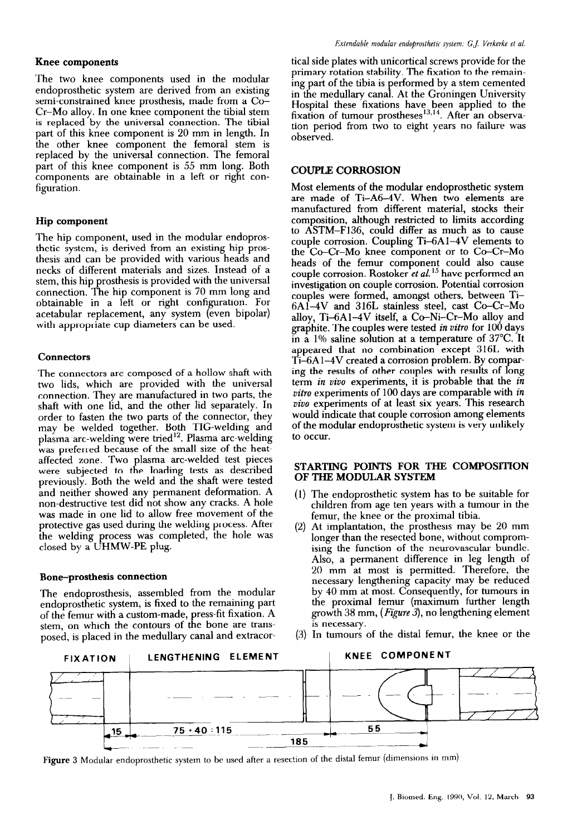## **Knee components**

The two knee components used in the modular endoprosthetic system are derived from an existing semi-constrained knee prosthesis, made from a Co-Cr-Mo alloy. In one knee component the tibia1 stem is replaced by the universal connection. The tibia1 part of this knee component is 20 mm in length. In the other knee component the femoral stem is replaced by the universal connection. The femoral part of this knee component is 55 mm long. Both components are obtainable in a left or right configuration.

## **Hip component**

The hip component, used in the modular endoprosthetic system, is derived from an existing hip prosthesis and can be provided with various heads and necks of different materials and sizes. Instead of a stem, this hip prosthesis is provided with the universal connection. The hip component is 70 mm long and obtainable in a left or right connguration. For acetabular replacement, any system (even bipolar) with appropriate cup diameters can be used.

## **Connectors**

The connectors are composed of a hollow shaft with two lids, which are provided with the universal connection. They are manufactured in two parts, the shaft with one lid, and the other lid separately. In order to fasten the two parts of the connector, they may be welded together. Both TIG-welding and plasma arc-welding were tried<sup>12</sup>. Plasma arc-welding was preferred because of the small size of the heataffected zone. Two plasma arc-welded test pieces were subjected to the loading tests as described previously. Both the weld and the shaft were tested and neither showed any permanent deformation. A non-destructive test did not show any cracks. A hole was made in one lid to allow free movement of the protective gas used during the welding process. After the welding process was completed, the hole was closed by a UHMW-PE plug.

## Bone-prosthesis connection

The endoprosthesis, assembled from the modular endoprosthetic system, is fixed to the remaining part of the femur with a custom-made, press-fit fixation. A stem, on which the contours of the bone are transposed, is placed in the medullary canal and extracor-

tical side plates with unicortical screws provide for the primary rotation stability. The fixation to the remaining part of the tibia is performed by a stem cemented in the medullary canal. At the Groningen University Hospital these fixations have been applied to the fixation of tumour prostheses<sup>10,14</sup>. After an observa tion period from two to eight years no failure was observed.

## COUPLE **CORROSION**

Most elements of the modular endoprosthetic system are made of Ti-A6-4V. When two elements are manufactured from different material, stocks their composition, although restricted to limits according to ASTM-F136, could differ as much as to cause couple corrosion. Coupling Ti-6Al-4V elements to the Co-Cr-Mo knee component or to Co-Cr-Mo heads of the femur component could also cause couple corrosion. Rostoker *et al. I5* have performed an investigation on couple corrosion. Potential corrosion couples were formed, amongst others, between Ti-6A1-4V and 316L stainless steel, cast Co-Cr-Mo alloy, Ti-6A1-4V itself, a Co-Ni-Cr-Mo alloy and graphite. The couples were tested *in vitro* for 100 days in a 1% saline solution at a temperature of 37°C. It appeared that no combination except 316L with  $T_{1-6A1-4V}$  created a corrosion problem. By comparing the results of other couples with results of long term *in vivo* experiments, it is probable that the *in vitro* experiments of 100 days are comparable with *in vivo* experiments of at least six years. This research would indicate that couple corrosion among elements of the modular endoprosthetic system is very unlikely to occur.

## STARTING POINTS FOR THE COMPOSITION OF THE MODULAR SYSTEM

- (1) The endoprosthetic system has to be suitable for children from age ten years with a tumour in the femur, the knee or the proximal tibia.
- (2) At implantation, the prosthesis may be 20 mm longer than the resected bone, without compromising the function of the neurovascular bundle. Also, a permanent difference in leg length of 20 mm at most is permitted. Therefore, the necessary lengthening capacity may be reduced by 40 mm at most. Consequently, for tumours in the proximal femur (maximum further length growth 38 mm, *(Figure* 3), no lengthening element is necessary.
- (3) In tumours of the distal femur, the knee or the



Figure **3** Modular endoprosthetic system to be used after a resection of the distal femur (dimensions in mm)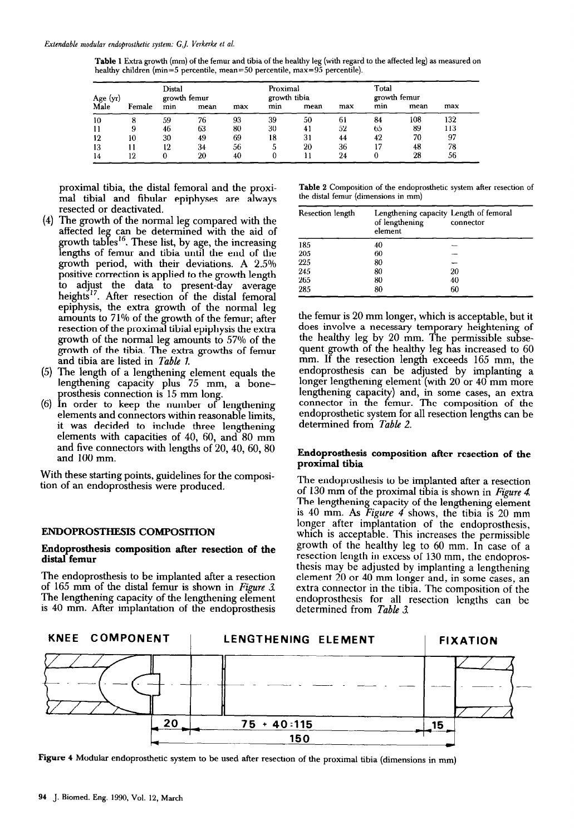| <b>Table 1</b> Extra growth (mm) of the femur and tibia of the healthy leg (with regard to the affected leg) as measured on |  |
|-----------------------------------------------------------------------------------------------------------------------------|--|
| healthy children (min=5 percentile, mean=50 percentile, max=95 percentile).                                                 |  |

| Age (yr) |        | Distal<br>growth femur |      |     |     | Proximal<br>growth tibia |     | Total<br>growth femur |      |     |
|----------|--------|------------------------|------|-----|-----|--------------------------|-----|-----------------------|------|-----|
| Male     | Female | min                    | mean | max | min | mean                     | max | min                   | mean | max |
| 10       |        | 59                     | 76   | 93  | 39  | 50                       | 61  | 84                    | 108  | 132 |
| 11       | 9      | 46                     | 63   | 80  | 30  | 41                       | 52  | 65                    | 89   | 113 |
| 12       | 10     | 30                     | 49   | 69  | 18  | 31                       | 44  | 42                    | 70   | 97  |
| 13       |        | 12                     | 34   | 56  |     | 20                       | 36  | 17                    | 48   | 78  |
| 14       | 12     |                        | 20   | 40  |     |                          | 24  |                       | 28   | 56  |

proximal tibia, the distal femoral and the proximal tibia1 and fibular epiphyses are always resected or deactivated.

- (4 The growth of the normal leg compared with the affected leg can be determined with the aid of lengths of femur and tibia until the end of the growth tables<sup>16</sup>. These list, by age, the increasing growth period, with their deviations. A 2.5% positive correction is applied to the growth length to adjust the data to present-day average heights<sup>17</sup>. After resection of the distal femoral epiphysis, the extra growth of the normal leg amounts to 71% of the growth of the femur; after resection of the proximal tibia1 epiphysis the extra growth of the normal leg amounts to 57% of the growth of the tibia. The extra growths of femur and tibia are listed in *Table 1.*
- (5) *The* length of a lengthening element equals the lengthening capacity plus 75 mm, a bone prosthesis connection is 15 mm long.
- (6) In order to keep the number of lengthening elements and connectors within reasonable limits, it was decided to include three lengthening elements with capacities of 40, 60, and 80 mm and five connectors with lengths of 20,40, 60,80 and 100 mm.

With these starting points, guidelines for the composition of an endoprosthesis were produced.

## **ENDOPROSTHESIS COMPOSITION**

#### **Endoprosthesis composition after resection of the distal femur**

**The** endoprosthesis to be implanted after a resection of 165 mm of the distal femur is shown in *Figure 3.*  The lengthening capacity of the lengthening element is 40 mm. After implantation of the endoprosthesis

**Table 2 Composition of the endoprosthetic system after resection of the distal femur (dimensions in mm)** 

| Resection length | Lengthening capacity Length of femoral<br>of lengthening<br>element | connector |
|------------------|---------------------------------------------------------------------|-----------|
| 185              | 40                                                                  |           |
| 205              | 60                                                                  |           |
| 225              | 80                                                                  |           |
| 245              | 80                                                                  | 20        |
| 265              | 80                                                                  | 40        |
| 285              | 80                                                                  | 60        |

the femur is 20 mm longer, which is acceptable, but it does involve a necessary temporary heightening of the healthy leg by 20 mm. The permissible subsequent growth of the healthy leg has increased to 60 mm. If the resection length exceeds 165 mm, the endoprosthesis can be adjusted by implanting a longer lengthening element (with 20 or 40 mm more lengthening capacity) and, in some cases, an extra connector in the femur. The composition of the endoprosthetic system for all resection lengths can be determined from *Table 2.* 

## **Endoprosthesis composition after resection of the proximal tibia**

**The** endoprosthesis to be implanted after a resection of 130 mm of the proximal tibia is shown in *Figure 4 The* lengthening capacity of the lengthening element is 40 mm. As Figure 4 shows, the tibia is 20 mm longer after implantation of the endoprosthesis, which is acceptable. This increases the permissible growth of the healthy leg to 60 mm. In case of a resection length in excess of 130 mm, the endoprosthesis may be adjusted by implanting a lengthening element 20 or 40 mm longer and, in some cases, an extra connector in the tibia. The composition of the endoprosthesis for all resection lengths can be determined from *Table 3.* 



Figure *4* **Modular endoprosthetic system to be used after resection of the proximal tibia (dimensions in mm)**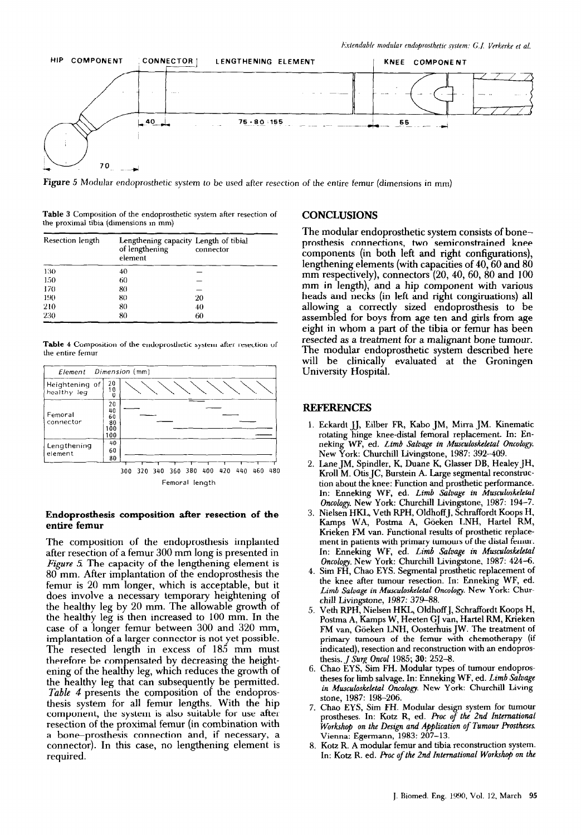

**Figure 5 Modular endoprosthetic system to be used after resection of the entire femur (dimensions** in mm)

**Table 3 Composition of the endoprosthetic system after resection of the proximal tibia (dimensions** in mm)

| Resection length | Lengthening capacity Length of tibial<br>of lengthening<br>element | connector |
|------------------|--------------------------------------------------------------------|-----------|
| 130              | 40                                                                 |           |
| 150              | 60                                                                 |           |
| 170              | 80                                                                 |           |
| 190              | 80                                                                 | 20        |
| 210              | 80                                                                 | 40        |
| 230              | 80                                                                 | 60        |

**Table** 4 **Composition of the endoprosthetic system after resection of the entire** femur



Femoral length

#### **Endoprosthesis composition after resection of the entire femur**

The composition of the endoprosthesis implanted after resection of a femur 300 mm long is presented in *Figure 5* The capacity of the lengthening element is 80 mm. After implantation of the endoprosthesis the femur is 20 mm longer, which is acceptable, but it does involve a necessary temporary heightening of the healthy leg by 20 mm. The allowable growth of the healthy leg is then increased to 100 mm. In the case of a longer femur between 300 and 320 mm, implantation of a larger connector is not yet possible. The resected length in excess of 185 mm must therefore be compensated by decreasing the heightening of the healthy leg, which reduces the growth of the healthy leg that can subsequently be permitted. *Table 4* presents the composition of the endoprosthesis system for all femur lengths. With the hip component, the system is also suitable for use after resection of the proximal femur (in combination with a bone-prosthesis connection and, if necessary, a connector). In this case, no lengthening element is required.

## **CONCLUSIONS**

The modular endoprosthetic system consists of boneprosthesis connections, two semiconstrained knee components (in both left and right configurations), lengthening elements (with capacities of 40, 60 and 80 mm respectively), connectors (20, 40, 60, 80 and 100 mm in length), and a hip component with various heads and necks (in left and right congiruations) all allowing a correctly sized endoprosthesis to be assembled for boys from age ten and girls from age eight in whom a part of the tibia or femur has been resected as a treatment for a malignant bone tumour. The modular endoprosthetic system described here will be clinically evaluated at the Groningen University Hospital.

#### REFERENCES

- **1. Eckardt JJ, Eilber FR, Kabo JM, Micra JM. Kinematic rotating hinge knee-distal femoral replacement. In: En**neking WF, ed. *Limb Salvage in Musculoskeletal Oncology*. *New* **York: Churchill Livingstone, 1987: 392-409.**
- **2. Lane JM, Spindler, K, Duane K, Glasser DB, Healey JH, Kroll M. Otis JC, Burstein A. Large segmental reconstruction about the knee: Function and prosthetic performance. In: Enneking WF, ed.** *Limb Saluage in Musculoskeletal Oncology. New* **York: Churchill Livingstone, 1987: 194-7.**
- **3. Nielsen HKL, Veth RPH, OldhoffJ, Schraffordt Koops H, Kamps WA, Postma A, GGeken LNH, Hartel RM, Krieken FM van. Functional results of prosthetic replacement in patients with primary tumours of the distal femur. In: Enneking WF, ed.** *Limb Salvage in MUsculaskeletal Oncology. New* **York: Churchill Livingstone, 1987: 424-6.**
- **4. Sim FH, Chao EYS. Segmental prosthetic replacement of the knee after tumour resection. In: Enneking WF, ed.**  Limb Salvage in Musculoskeletal Oncology. New York: Chur**chill Livingstone, 1987: 379-88.**
- **5. Veth RPH, Nielsen HKL, OldhoffJ, Schraffordt Koops H, Postma A, Kamps W, Heeten GJ van, Hartel RM, Krieken**  FM van, Göeken LNH, Oosterhuis JW. The treatment of **primary tumours of the femur with chemotherapy (if indicated), resection and reconstruction with an endoprosthesis.** *J Su7g Oncol* **1985; 30: 252-8.**
- **6. Chao EYS, Sim FH. Modular types of tumour endoprostheses for limb salvage. In: Enneking WF, ed.** *Limb Salvage in A4usculoskeletal Oncology. New* **York: Churchill Livingstone, 1987: 198-206.**
- **7. Chao EYS, Sim FH. Modular design system for tumour prostheses. In: Katz R, ed. l+oc** *of the* 2nd *International Workshop on the Design and Application of Tumour Prostheses.*  **Vienna: Egermann, 1983: 207-13.**
- **8 Katz R. A modular femur and tibia reconstruction system. In: Katz R. ed. hoc** *of the* **2nd** *International Workshop on the*